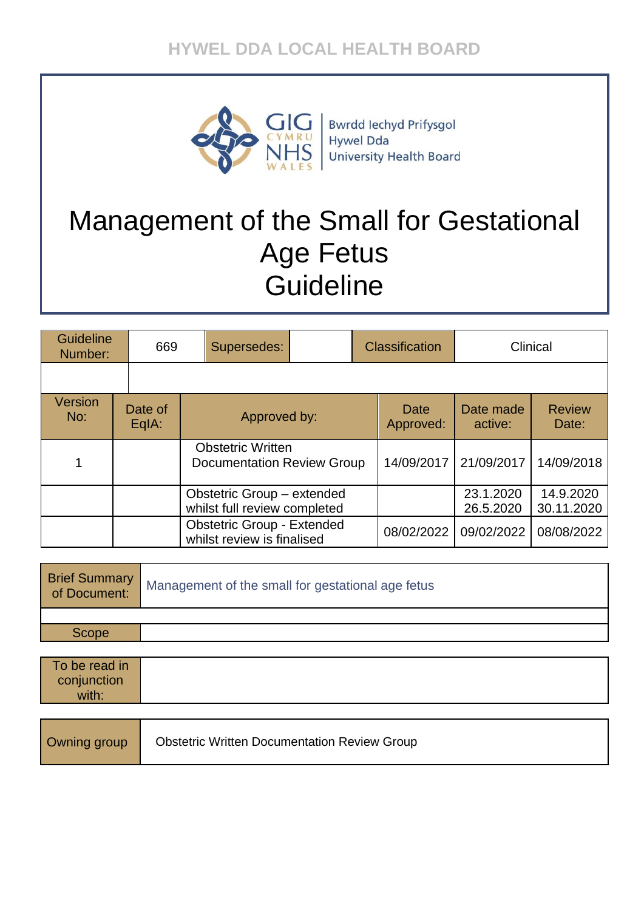# **HYWEL DDA LOCAL HEALTH BOARD**



**Bwrdd lechyd Prifysgol Hywel Dda University Health Board** 

# Management of the Small for Gestational Age Fetus **Guideline**

| <b>Guideline</b><br>Number: |  | 669              | Supersedes:                                                |                                                                 |                   | Classification         |                         | Clinical   |
|-----------------------------|--|------------------|------------------------------------------------------------|-----------------------------------------------------------------|-------------------|------------------------|-------------------------|------------|
|                             |  |                  |                                                            |                                                                 |                   |                        |                         |            |
| Version<br>No:              |  | Date of<br>EqIA: | Approved by:                                               |                                                                 | Date<br>Approved: | Date made<br>active:   | <b>Review</b><br>Date:  |            |
|                             |  |                  |                                                            | <b>Obstetric Written</b><br><b>Documentation Review Group</b>   |                   | 14/09/2017             | 21/09/2017              | 14/09/2018 |
|                             |  |                  | Obstetric Group - extended<br>whilst full review completed |                                                                 |                   | 23.1.2020<br>26.5.2020 | 14.9.2020<br>30.11.2020 |            |
|                             |  |                  |                                                            | <b>Obstetric Group - Extended</b><br>whilst review is finalised |                   | 08/02/2022             | 09/02/2022              | 08/08/2022 |

| Brief Summary<br>of Document: | Management of the small for gestational age fetus |
|-------------------------------|---------------------------------------------------|
|                               |                                                   |
| Scope                         |                                                   |
|                               |                                                   |

| To be read in |  |
|---------------|--|
| conjunction   |  |
| with:         |  |

| Owning group | <b>Obstetric Written Documentation Review Group</b> |
|--------------|-----------------------------------------------------|
|--------------|-----------------------------------------------------|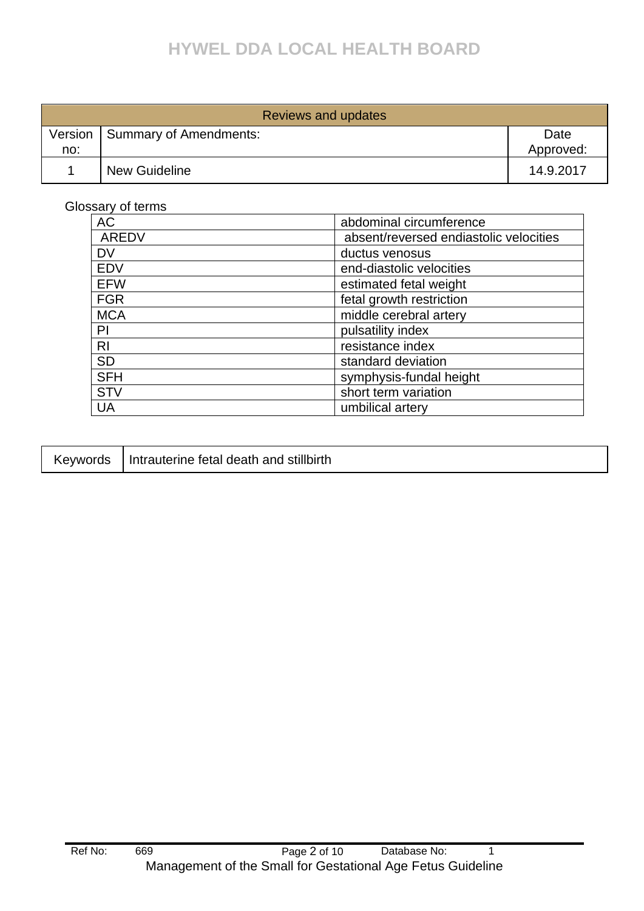# **HYWEL DDA LOCAL HEALTH BOARD**

| Reviews and updates |                        |                   |  |
|---------------------|------------------------|-------------------|--|
| Version<br>no:      | Summary of Amendments: | Date<br>Approved: |  |
|                     | <b>New Guideline</b>   | 14.9.2017         |  |

Glossary of terms

| <b>AC</b>                              | abdominal circumference                |  |
|----------------------------------------|----------------------------------------|--|
| <b>AREDV</b>                           | absent/reversed endiastolic velocities |  |
| <b>DV</b>                              | ductus venosus                         |  |
| <b>EDV</b>                             | end-diastolic velocities               |  |
| <b>EFW</b>                             | estimated fetal weight                 |  |
| <b>FGR</b><br>fetal growth restriction |                                        |  |
| <b>MCA</b>                             | middle cerebral artery                 |  |
| PI                                     | pulsatility index                      |  |
| R <sub>l</sub>                         | resistance index                       |  |
| <b>SD</b>                              | standard deviation                     |  |
| <b>SFH</b>                             | symphysis-fundal height                |  |
| <b>STV</b>                             | short term variation                   |  |
| UA                                     | umbilical artery                       |  |

| <b>Keywords</b> | Intrauterine fetal death and stillbirth |
|-----------------|-----------------------------------------|
|-----------------|-----------------------------------------|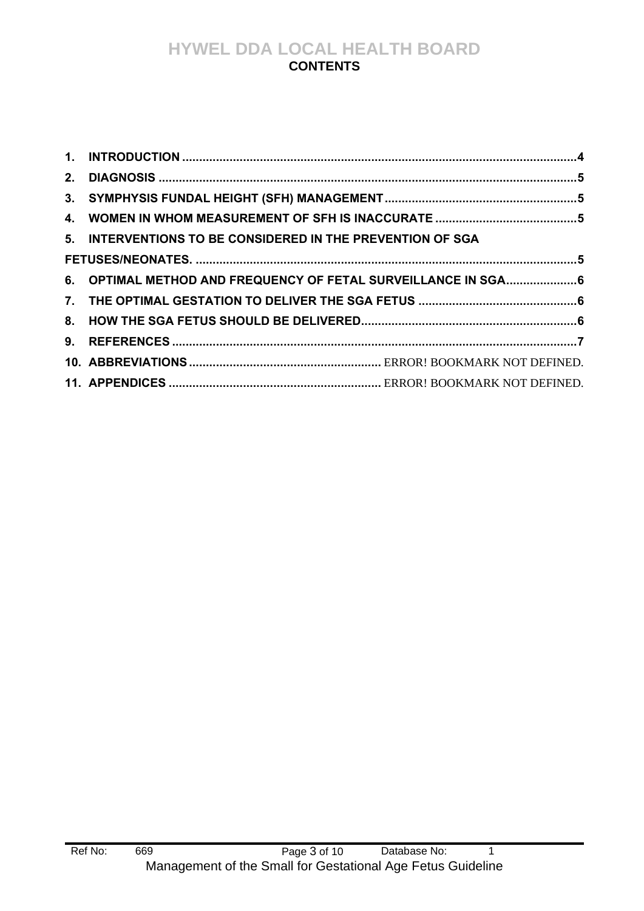## **HYWEL DDA LOCAL HEALTH BOARD CONTENTS**

| 5. INTERVENTIONS TO BE CONSIDERED IN THE PREVENTION OF SGA    |  |
|---------------------------------------------------------------|--|
|                                                               |  |
| 6. OPTIMAL METHOD AND FREQUENCY OF FETAL SURVEILLANCE IN SGA6 |  |
|                                                               |  |
|                                                               |  |
|                                                               |  |
|                                                               |  |
|                                                               |  |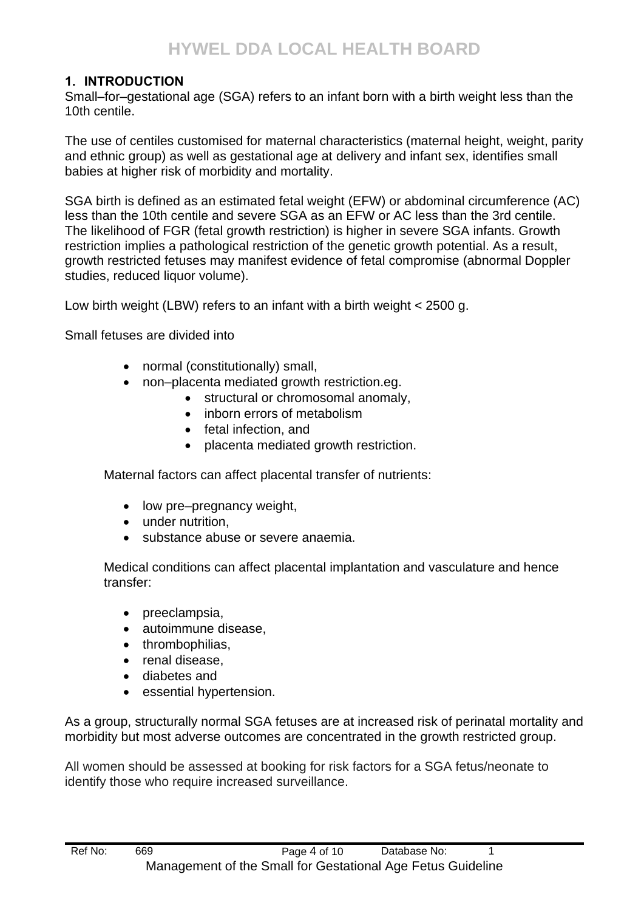#### <span id="page-3-0"></span>**1. INTRODUCTION**

Small–for–gestational age (SGA) refers to an infant born with a birth weight less than the 10th centile.

The use of centiles customised for maternal characteristics (maternal height, weight, parity and ethnic group) as well as gestational age at delivery and infant sex, identifies small babies at higher risk of morbidity and mortality.

SGA birth is defined as an estimated fetal weight (EFW) or abdominal circumference (AC) less than the 10th centile and severe SGA as an EFW or AC less than the 3rd centile. The likelihood of FGR (fetal growth restriction) is higher in severe SGA infants. Growth restriction implies a pathological restriction of the genetic growth potential. As a result, growth restricted fetuses may manifest evidence of fetal compromise (abnormal Doppler studies, reduced liquor volume).

Low birth weight (LBW) refers to an infant with a birth weight < 2500 g.

Small fetuses are divided into

- normal (constitutionally) small,
- non–placenta mediated growth restriction.eg.
	- structural or chromosomal anomaly.
	- inborn errors of metabolism
	- fetal infection, and
	- placenta mediated growth restriction.

Maternal factors can affect placental transfer of nutrients:

- low pre–pregnancy weight,
- under nutrition,
- substance abuse or severe anaemia.

Medical conditions can affect placental implantation and vasculature and hence transfer:

- preeclampsia,
- autoimmune disease,
- thrombophilias,
- renal disease.
- diabetes and
- essential hypertension.

As a group, structurally normal SGA fetuses are at increased risk of perinatal mortality and morbidity but most adverse outcomes are concentrated in the growth restricted group.

All women should be assessed at booking for risk factors for a SGA fetus/neonate to identify those who require increased surveillance.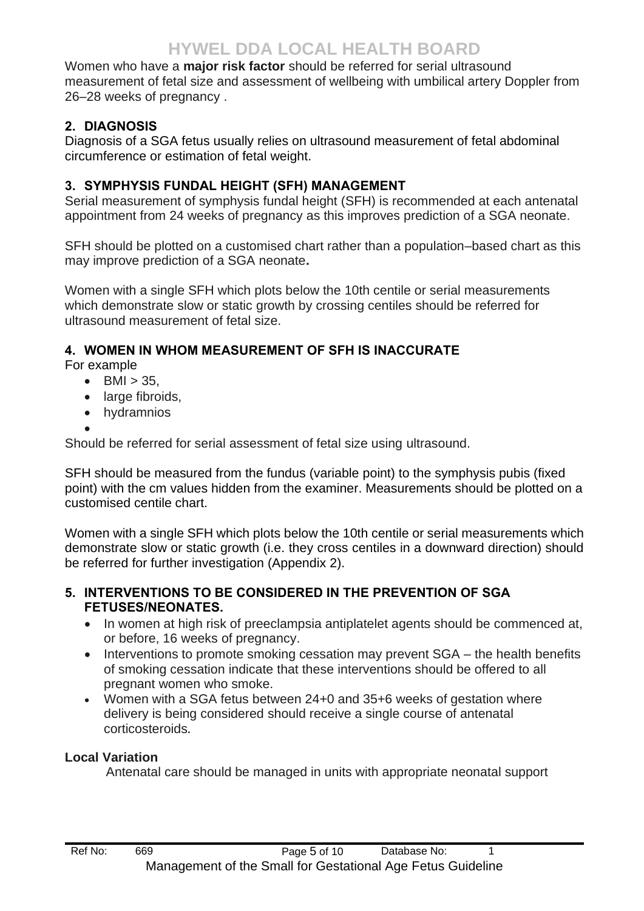Women who have a **major risk factor** should be referred for serial ultrasound measurement of fetal size and assessment of wellbeing with umbilical artery Doppler from 26–28 weeks of pregnancy .

## <span id="page-4-0"></span>**2. DIAGNOSIS**

Diagnosis of a SGA fetus usually relies on ultrasound measurement of fetal abdominal circumference or estimation of fetal weight.

## <span id="page-4-1"></span>**3. SYMPHYSIS FUNDAL HEIGHT (SFH) MANAGEMENT**

Serial measurement of symphysis fundal height (SFH) is recommended at each antenatal appointment from 24 weeks of pregnancy as this improves prediction of a SGA neonate.

SFH should be plotted on a customised chart rather than a population–based chart as this may improve prediction of a SGA neonate**.**

Women with a single SFH which plots below the 10th centile or serial measurements which demonstrate slow or static growth by crossing centiles should be referred for ultrasound measurement of fetal size.

## <span id="page-4-2"></span>**4. WOMEN IN WHOM MEASUREMENT OF SFH IS INACCURATE**

For example

- $BMI > 35$ .
- large fibroids.
- hydramnios
- •

Should be referred for serial assessment of fetal size using ultrasound.

SFH should be measured from the fundus (variable point) to the symphysis pubis (fixed point) with the cm values hidden from the examiner. Measurements should be plotted on a customised centile chart.

Women with a single SFH which plots below the 10th centile or serial measurements which demonstrate slow or static growth (i.e. they cross centiles in a downward direction) should be referred for further investigation (Appendix 2).

#### <span id="page-4-3"></span>**5. INTERVENTIONS TO BE CONSIDERED IN THE PREVENTION OF SGA FETUSES/NEONATES.**

- In women at high risk of preeclampsia antiplatelet agents should be commenced at, or before, 16 weeks of pregnancy.
- Interventions to promote smoking cessation may prevent SGA the health benefits of smoking cessation indicate that these interventions should be offered to all pregnant women who smoke.
- Women with a SGA fetus between 24+0 and 35+6 weeks of gestation where delivery is being considered should receive a single course of antenatal corticosteroids**.**

#### **Local Variation**

Antenatal care should be managed in units with appropriate neonatal support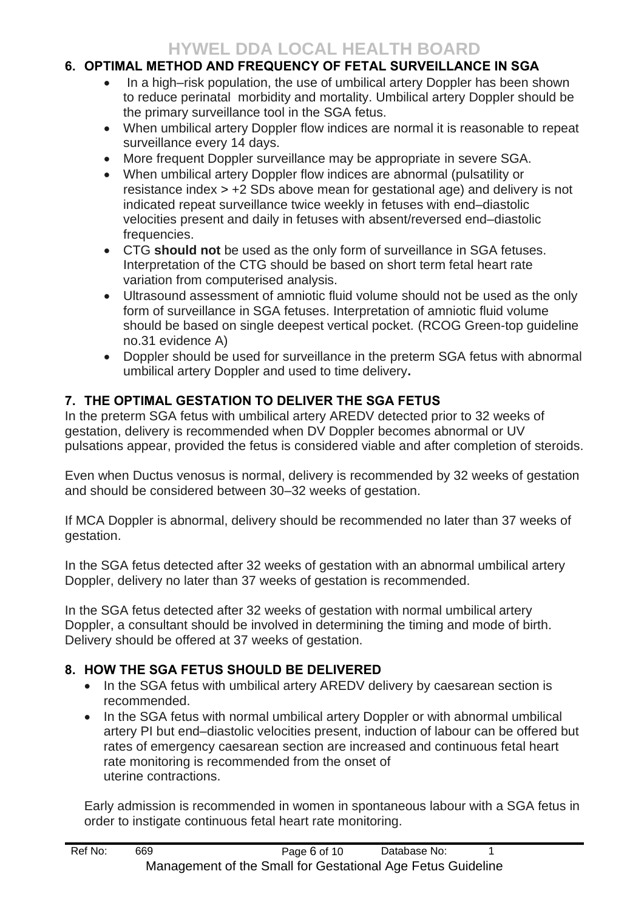## **HYWEL DDA LOCAL HEALTH BOARD**

#### <span id="page-5-0"></span>**6. OPTIMAL METHOD AND FREQUENCY OF FETAL SURVEILLANCE IN SGA**

- In a high–risk population, the use of umbilical artery Doppler has been shown to reduce perinatal morbidity and mortality. Umbilical artery Doppler should be the primary surveillance tool in the SGA fetus.
- When umbilical artery Doppler flow indices are normal it is reasonable to repeat surveillance every 14 days.
- More frequent Doppler surveillance may be appropriate in severe SGA.
- When umbilical artery Doppler flow indices are abnormal (pulsatility or resistance index > +2 SDs above mean for gestational age) and delivery is not indicated repeat surveillance twice weekly in fetuses with end–diastolic velocities present and daily in fetuses with absent/reversed end–diastolic frequencies.
- CTG **should not** be used as the only form of surveillance in SGA fetuses. Interpretation of the CTG should be based on short term fetal heart rate variation from computerised analysis.
- Ultrasound assessment of amniotic fluid volume should not be used as the only form of surveillance in SGA fetuses. Interpretation of amniotic fluid volume should be based on single deepest vertical pocket. (RCOG Green-top guideline no.31 evidence A)
- Doppler should be used for surveillance in the preterm SGA fetus with abnormal umbilical artery Doppler and used to time delivery**.**

#### <span id="page-5-1"></span>**7. THE OPTIMAL GESTATION TO DELIVER THE SGA FETUS**

In the preterm SGA fetus with umbilical artery AREDV detected prior to 32 weeks of gestation, delivery is recommended when DV Doppler becomes abnormal or UV pulsations appear, provided the fetus is considered viable and after completion of steroids.

Even when Ductus venosus is normal, delivery is recommended by 32 weeks of gestation and should be considered between 30–32 weeks of gestation.

If MCA Doppler is abnormal, delivery should be recommended no later than 37 weeks of gestation.

In the SGA fetus detected after 32 weeks of gestation with an abnormal umbilical artery Doppler, delivery no later than 37 weeks of gestation is recommended.

In the SGA fetus detected after 32 weeks of gestation with normal umbilical artery Doppler, a consultant should be involved in determining the timing and mode of birth. Delivery should be offered at 37 weeks of gestation.

#### <span id="page-5-2"></span>**8. HOW THE SGA FETUS SHOULD BE DELIVERED**

- In the SGA fetus with umbilical artery AREDV delivery by caesarean section is recommended.
- In the SGA fetus with normal umbilical artery Doppler or with abnormal umbilical artery PI but end–diastolic velocities present, induction of labour can be offered but rates of emergency caesarean section are increased and continuous fetal heart rate monitoring is recommended from the onset of uterine contractions.

Early admission is recommended in women in spontaneous labour with a SGA fetus in order to instigate continuous fetal heart rate monitoring.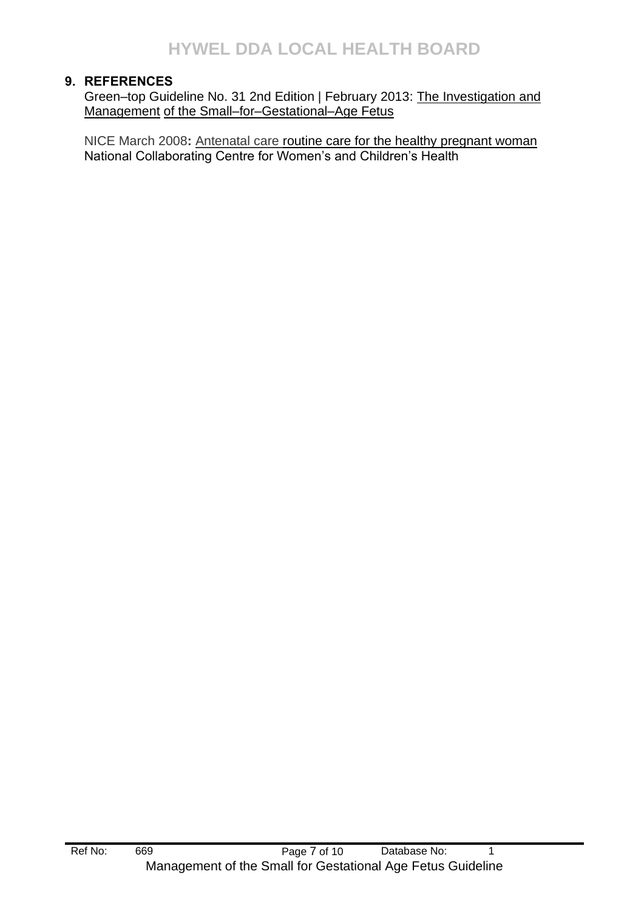#### <span id="page-6-0"></span>**9. REFERENCES**

Green–top Guideline No. 31 2nd Edition | February 2013: The Investigation and Management of the Small–for–Gestational–Age Fetus

NICE March 2008**:** Antenatal care routine care for the healthy pregnant woman National Collaborating Centre for Women's and Children's Health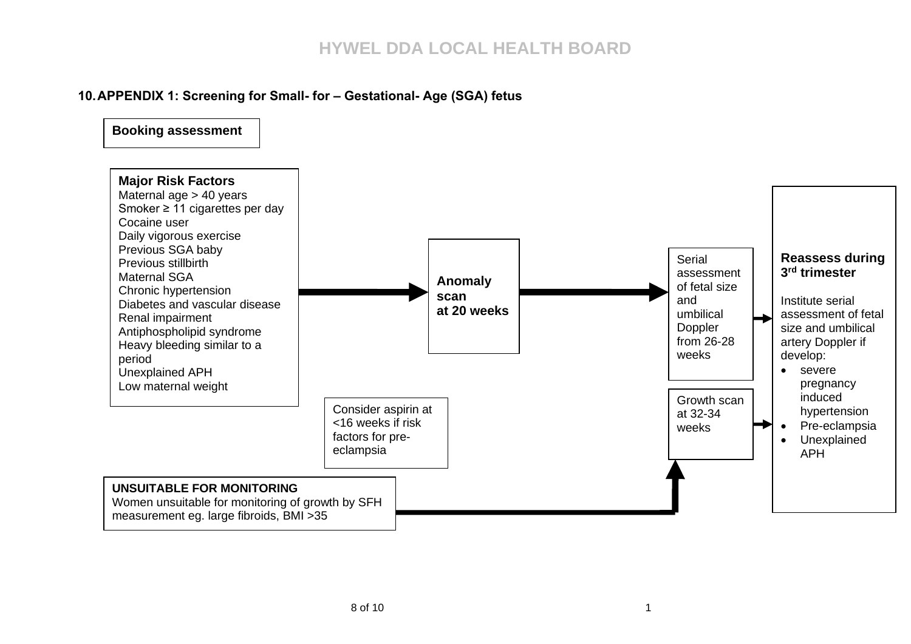#### **10.APPENDIX 1: Screening for Small- for – Gestational- Age (SGA) fetus**

**Booking assessment**

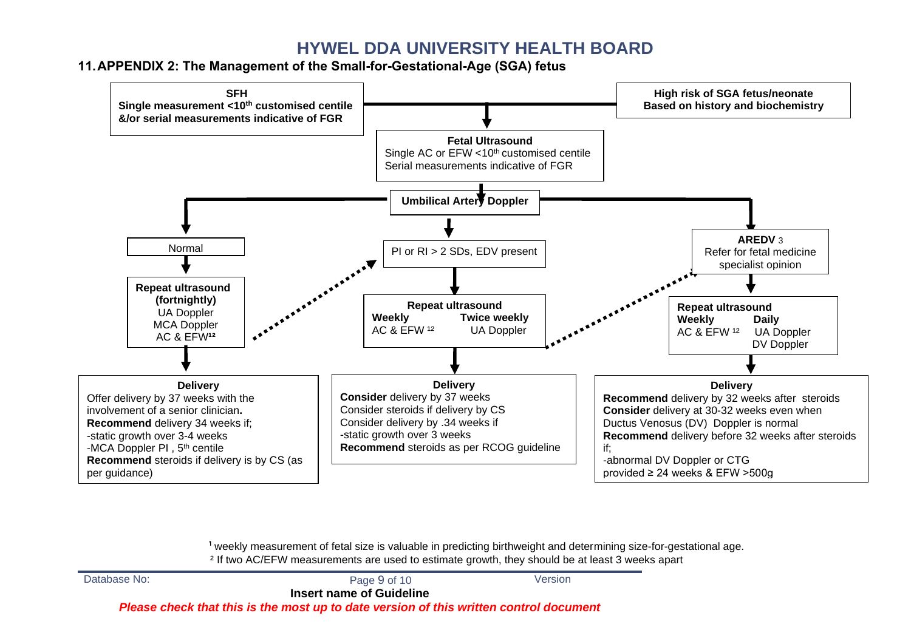# **HYWEL DDA UNIVERSITY HEALTH BOARD**

**11.APPENDIX 2: The Management of the Small-for-Gestational-Age (SGA) fetus**



 $1$  weekly measurement of fetal size is valuable in predicting birthweight and determining size-for-gestational age. ² If two AC/EFW measurements are used to estimate growth, they should be at least 3 weeks apart

| Database No:                                                                           | Page 9 of 10 | Version |  |  |  |
|----------------------------------------------------------------------------------------|--------------|---------|--|--|--|
| <b>Insert name of Guideline</b>                                                        |              |         |  |  |  |
| Please check that this is the most up to date version of this written control document |              |         |  |  |  |